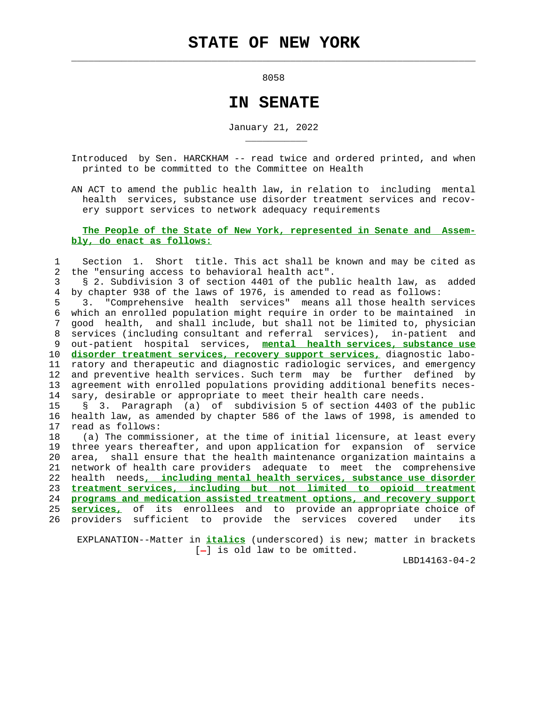external contracts of the contracts of the contracts of the contracts of the contracts of the contracts of the contracts of the contracts of the contracts of the contracts of the contracts of the contracts of the contracts

 $\mathcal{L}_\text{max} = \frac{1}{2} \sum_{i=1}^{n} \frac{1}{2} \sum_{i=1}^{n} \frac{1}{2} \sum_{i=1}^{n} \frac{1}{2} \sum_{i=1}^{n} \frac{1}{2} \sum_{i=1}^{n} \frac{1}{2} \sum_{i=1}^{n} \frac{1}{2} \sum_{i=1}^{n} \frac{1}{2} \sum_{i=1}^{n} \frac{1}{2} \sum_{i=1}^{n} \frac{1}{2} \sum_{i=1}^{n} \frac{1}{2} \sum_{i=1}^{n} \frac{1}{2} \sum_{i=1}^{n} \frac{1$ 

\_\_\_\_\_\_\_\_\_\_\_

## **IN SENATE**

January 21, 2022

 Introduced by Sen. HARCKHAM -- read twice and ordered printed, and when printed to be committed to the Committee on Health

 AN ACT to amend the public health law, in relation to including mental health services, substance use disorder treatment services and recov ery support services to network adequacy requirements

## **The People of the State of New York, represented in Senate and Assem bly, do enact as follows:**

 1 Section 1. Short title. This act shall be known and may be cited as 2 the "ensuring access to behavioral health act".

 3 § 2. Subdivision 3 of section 4401 of the public health law, as added 4 by chapter 938 of the laws of 1976, is amended to read as follows:

 5 3. "Comprehensive health services" means all those health services 6 which an enrolled population might require in order to be maintained in 7 good health, and shall include, but shall not be limited to, physician 8 services (including consultant and referral services), in-patient and 9 out-patient hospital services, **mental health services, substance use** 10 **disorder treatment services, recovery support services,** diagnostic labo- 11 ratory and therapeutic and diagnostic radiologic services, and emergency 12 and preventive health services. Such term may be further defined by 13 agreement with enrolled populations providing additional benefits neces- 14 sary, desirable or appropriate to meet their health care needs.

 15 § 3. Paragraph (a) of subdivision 5 of section 4403 of the public 16 health law, as amended by chapter 586 of the laws of 1998, is amended to 17 read as follows:

 18 (a) The commissioner, at the time of initial licensure, at least every 19 three years thereafter, and upon application for expansion of service 20 area, shall ensure that the health maintenance organization maintains a 21 network of health care providers adequate to meet the comprehensive 22 health needs**, including mental health services, substance use disorder** 23 **treatment services, including but not limited to opioid treatment** 24 **programs and medication assisted treatment options, and recovery support** 25 **services,** of its enrollees and to provide an appropriate choice of 26 providers sufficient to provide the services covered under its

 EXPLANATION--Matter in **italics** (underscored) is new; matter in brackets  $[-]$  is old law to be omitted.

LBD14163-04-2